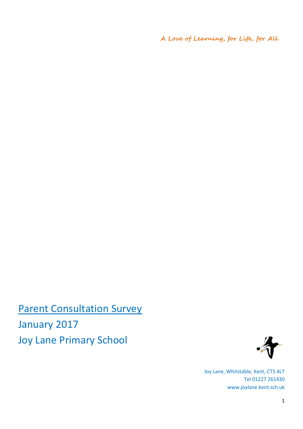**A Love of Learning, for Life, for All**

**Parent Consultation Survey** January 2017 Joy Lane Primary School



Joy Lane, Whitstable, Kent, CT5 4LT Tel 01227 261430 www.joylane.kent.sch.uk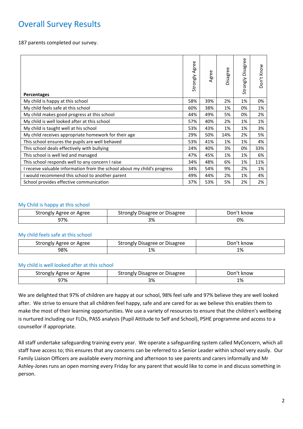# Overall Survey Results

187 parents completed our survey.

| <b>Percentages</b>                                                       | Strongly Agree | Agree | Disagree | <b>Disagree</b><br>Strongly | Don't Know |
|--------------------------------------------------------------------------|----------------|-------|----------|-----------------------------|------------|
| My child is happy at this school                                         | 58%            | 39%   | 2%       | 1%                          | 0%         |
| My child feels safe at this school                                       | 60%            | 38%   | 1%       | 0%                          | 1%         |
| My child makes good progress at this school                              | 44%            | 49%   | 5%       | 0%                          | 2%         |
| My child is well looked after at this school                             | 57%            | 40%   | 2%       | 1%                          | 1%         |
| My child is taught well at his school                                    | 53%            | 43%   | 1%       | 1%                          | 3%         |
| My child receives appropriate homework for their age                     | 29%            | 50%   | 14%      | 2%                          | 5%         |
| This school ensures the pupils are well behaved                          | 53%            | 41%   | 1%       | 1%                          | 4%         |
| This school deals effectively with bullying                              | 24%            | 40%   | 3%       | 0%                          | 33%        |
| This school is well led and managed                                      | 47%            | 45%   | 1%       | 1%                          | 6%         |
| This school responds well to any concern I raise                         | 34%            | 48%   | 6%       | 1%                          | 11%        |
| I receive valuable information from the school about my child's progress | 34%            | 54%   | 9%       | 2%                          | 1%         |
| I would recommend this school to another parent                          | 49%            | 44%   | 2%       | 1%                          | 4%         |
| School provides effective communication                                  | 37%            | 53%   | 5%       | 2%                          | 2%         |

#### My Child is happy at this school

| strongly<br>/ Agree or Agree | Strongly Disagree or Disagree | Don't<br>know |
|------------------------------|-------------------------------|---------------|
| 97%                          | າ ດ<br>7٥                     | 0%            |

#### My child feels safe at this school

| Agree or Agree | / Disagree or Disagree            | Don'   |
|----------------|-----------------------------------|--------|
| strongly       | ' strongly۔                       | . know |
| 98%            | 1%<br>$\sim$ $\sim$ $\sim$ $\sim$ | 1%     |

#### My child is well looked after at this school

| strongly<br>Agree<br>Agree or | <sup>.</sup> Disagree<br>Disagree or<br>strongly | ⊃on′′<br>know |
|-------------------------------|--------------------------------------------------|---------------|
| 97%                           | 3%                                               | 1%            |

We are delighted that 97% of children are happy at our school, 98% feel safe and 97% believe they are well looked after. We strive to ensure that all children feel happy, safe and are cared for as we believe this enables them to make the most of their learning opportunities. We use a variety of resources to ensure that the children's wellbeing is nurtured including our FLOs, PASS analysis (Pupil Attitude to Self and School), PSHE programme and access to a counsellor if appropriate.

All staff undertake safeguarding training every year. We operate a safeguarding system called MyConcern, which all staff have access to; this ensures that any concerns can be referred to a Senior Leader within school very easily. Our Family Liaison Officers are available every morning and afternoon to see parents and carers informally and Mr Ashley-Jones runs an open morning every Friday for any parent that would like to come in and discuss something in person.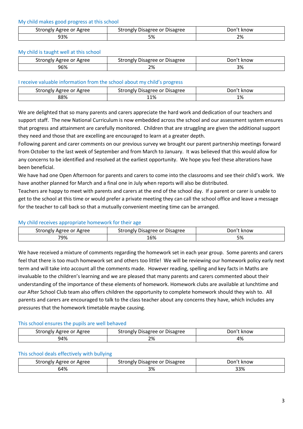My child makes good progress at this school

| Agree or Agree | Disagree or Disagree | Don''                                           |
|----------------|----------------------|-------------------------------------------------|
| strongly       | strongl              | know                                            |
| 93%            | $\sim$ 0/<br>J 70    | 2%<br>$\sim$ $\sim$ $\sim$ $\sim$ $\sim$ $\sim$ |

#### My child is taught well at this school

| Agree or Agree<br>strongly | , Disagree or l<br><b>Disagree</b><br>strongly ' | Don<br>. know |
|----------------------------|--------------------------------------------------|---------------|
| 96%                        | 70'<br>Z70<br>_____                              | 3%            |

#### I receive valuable information from the school about my child's progress

| Agree or Agree | ' Disagree or Disagree | Jon' |
|----------------|------------------------|------|
| strongly       | strongly '             | know |
| 88%            | 11%                    | 1%   |

We are delighted that so many parents and carers appreciate the hard work and dedication of our teachers and support staff. The new National Curriculum is now embedded across the school and our assessment system ensures that progress and attainment are carefully monitored. Children that are struggling are given the additional support they need and those that are excelling are encouraged to learn at a greater depth.

Following parent and carer comments on our previous survey we brought our parent partnership meetings forward from October to the last week of September and from March to January. It was believed that this would allow for any concerns to be identified and resolved at the earliest opportunity. We hope you feel these alterations have been beneficial.

We have had one Open Afternoon for parents and carers to come into the classrooms and see their child's work. We have another planned for March and a final one in July when reports will also be distributed.

Teachers are happy to meet with parents and carers at the end of the school day. If a parent or carer is unable to get to the school at this time or would prefer a private meeting they can call the school office and leave a message for the teacher to call back so that a mutually convenient meeting time can be arranged.

# My child receives appropriate homework for their age

| Agree<br>strongly<br>Agree or | Disagree or<br>: Disagree<br>َ strongly | onد<br>know |
|-------------------------------|-----------------------------------------|-------------|
| 79%                           | 16%                                     | 5%          |

We have received a mixture of comments regarding the homework set in each year group. Some parents and carers feel that there is too much homework set and others too little! We will be reviewing our homework policy early next term and will take into account all the comments made. However reading, spelling and key facts in Maths are invaluable to the children's learning and we are pleased that many parents and carers commented about their understanding of the importance of these elements of homework. Homework clubs are available at lunchtime and our After School Club team also offers children the opportunity to complete homework should they wish to. All parents and carers are encouraged to talk to the class teacher about any concerns they have, which includes any pressures that the homework timetable maybe causing.

#### This school ensures the pupils are well behaved

| Agree<br>Agree or .<br>strong <sub>r</sub> | <b>Disagree</b><br>Disagree or<br>ngiv | Jon'<br>know |
|--------------------------------------------|----------------------------------------|--------------|
| )4%                                        | 70/<br>270                             | 10,<br>470   |

#### This school deals effectively with bullying

| Agree or Agree | , Disagree or Disagree | ⊃on′*  |
|----------------|------------------------|--------|
| strongly       | strongly '             | . know |
| 64%            | ີດ<br>7٥               | 33%    |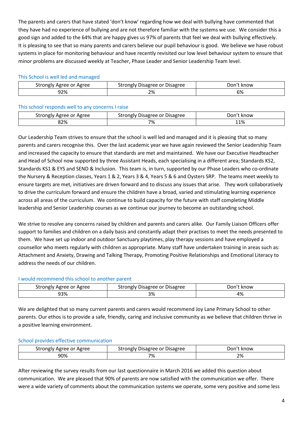The parents and carers that have stated 'don't know' regarding how we deal with bullying have commented that they have had no experience of bullying and are not therefore familiar with the systems we use. We consider this a good sign and added to the 64% that are happy gives us 97% of parents that feel we deal with bullying effectively. It is pleasing to see that so many parents and carers believe our pupil behaviour is good. We believe we have robust systems in place for monitoring behaviour and have recently revisited our low level behaviour system to ensure that minor problems are discussed weekly at Teacher, Phase Leader and Senior Leadership Team level.

#### This School is well led and managed

| strongly<br>' Agree or Agree | Strongly Disagree or Disagree | Don't know |
|------------------------------|-------------------------------|------------|
| 92%                          | 2%                            | 6%         |

# This school responds well to any concerns I raise

| Strongly Agree or Agree | ' Disagree or Disagree<br>strongly ' | . know<br>"On' |
|-------------------------|--------------------------------------|----------------|
| 82%                     | 7%                                   | 11%            |

Our Leadership Team strives to ensure that the school is well led and managed and it is pleasing that so many parents and carers recognise this. Over the last academic year we have again reviewed the Senior Leadership Team and increased the capacity to ensure that standards are met and maintained. We have our Executive Headteacher and Head of School now supported by three Assistant Heads, each specialising in a different area; Standards KS2, Standards KS1 & EYS and SEND & Inclusion. This team is, in turn, supported by our Phase Leaders who co-ordinate the Nursery & Reception classes, Years 1 & 2, Years 3 & 4, Years 5 & 6 and Oysters SRP. The teams meet weekly to ensure targets are met, initiatives are driven forward and to discuss any issues that arise. They work collaboratively to drive the curriculum forward and ensure the children have a broad, varied and stimulating learning experience across all areas of the curriculum. We continue to build capacity for the future with staff completing Middle leadership and Senior Leadership courses as we continue our journey to become an outstanding school.

We strive to resolve any concerns raised by children and parents and carers alike. Our Family Liaison Officers offer support to families and children on a daily basis and constantly adapt their practises to meet the needs presented to them. We have set up indoor and outdoor Sanctuary playtimes, play therapy sessions and have employed a counsellor who meets regularly with children as appropriate. Many staff have undertaken training in areas such as: Attachment and Anxiety, Drawing and Talking Therapy, Promoting Positive Relationships and Emotional Literacy to address the needs of our children.

# I would recommend this school to another parent

| strongly<br>Agree or Agree | : Disagree<br>Disagree or<br>strongly | ''Jon<br>. know |
|----------------------------|---------------------------------------|-----------------|
| <b>93%</b>                 | 20/<br><b>J70</b>                     | 4%              |

We are delighted that so many current parents and carers would recommend Joy Lane Primary School to other parents. Our ethos is to provide a safe, friendly, caring and inclusive community as we believe that children thrive in a positive learning environment.

# School provides effective communication

| Agree<br>strongly<br>Agree<br>or | <b>Disagree</b><br>Disagree<br>.<br>or | Jor'<br>know |
|----------------------------------|----------------------------------------|--------------|
| 90%                              | 7%                                     | 2%           |

After reviewing the survey results from our last questionnaire in March 2016 we added this question about communication. We are pleased that 90% of parents are now satisfied with the communication we offer. There were a wide variety of comments about the communication systems we operate, some very positive and some less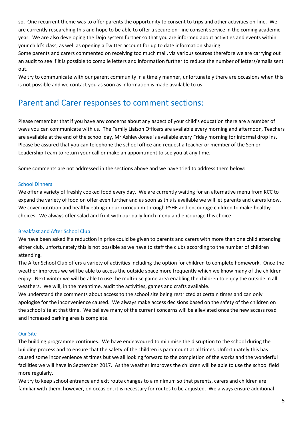so. One recurrent theme was to offer parents the opportunity to consent to trips and other activities on-line. We are currently researching this and hope to be able to offer a secure on–line consent service in the coming academic year. We are also developing the Dojo system further so that you are informed about activities and events within your child's class, as well as opening a Twitter account for up to date information sharing.

Some parents and carers commented on receiving too much mail, via various sources therefore we are carrying out an audit to see if it is possible to compile letters and information further to reduce the number of letters/emails sent out.

We try to communicate with our parent community in a timely manner, unfortunately there are occasions when this is not possible and we contact you as soon as information is made available to us.

# Parent and Carer responses to comment sections:

Please remember that if you have any concerns about any aspect of your child's education there are a number of ways you can communicate with us. The Family Liaison Officers are available every morning and afternoon, Teachers are available at the end of the school day, Mr Ashley-Jones is available every Friday morning for informal drop ins. Please be assured that you can telephone the school office and request a teacher or member of the Senior Leadership Team to return your call or make an appointment to see you at any time.

Some comments are not addressed in the sections above and we have tried to address them below:

# School Dinners

We offer a variety of freshly cooked food every day. We are currently waiting for an alternative menu from KCC to expand the variety of food on offer even further and as soon as this is available we will let parents and carers know. We cover nutrition and healthy eating in our curriculum through PSHE and encourage children to make healthy choices. We always offer salad and fruit with our daily lunch menu and encourage this choice.

# Breakfast and After School Club

We have been asked if a reduction in price could be given to parents and carers with more than one child attending either club, unfortunately this is not possible as we have to staff the clubs according to the number of children attending.

The After School Club offers a variety of activities including the option for children to complete homework. Once the weather improves we will be able to access the outside space more frequently which we know many of the children enjoy. Next winter we will be able to use the multi-use game area enabling the children to enjoy the outside in all weathers. We will, in the meantime, audit the activities, games and crafts available.

We understand the comments about access to the school site being restricted at certain times and can only apologise for the inconvenience caused. We always make access decisions based on the safety of the children on the school site at that time. We believe many of the current concerns will be alleviated once the new access road and increased parking area is complete.

# Our Site

The building programme continues. We have endeavoured to minimise the disruption to the school during the building process and to ensure that the safety of the children is paramount at all times. Unfortunately this has caused some inconvenience at times but we all looking forward to the completion of the works and the wonderful facilities we will have in September 2017. As the weather improves the children will be able to use the school field more regularly.

We try to keep school entrance and exit route changes to a minimum so that parents, carers and children are familiar with them, however, on occasion, it is necessary for routes to be adjusted. We always ensure additional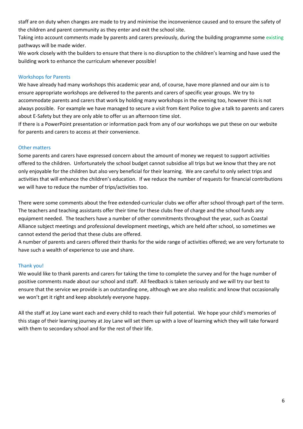staff are on duty when changes are made to try and minimise the inconvenience caused and to ensure the safety of the children and parent community as they enter and exit the school site.

Taking into account comments made by parents and carers previously, during the building programme some existing pathways will be made wider.

We work closely with the builders to ensure that there is no disruption to the children's learning and have used the building work to enhance the curriculum whenever possible!

# Workshops for Parents

We have already had many workshops this academic year and, of course, have more planned and our aim is to ensure appropriate workshops are delivered to the parents and carers of specific year groups. We try to accommodate parents and carers that work by holding many workshops in the evening too, however this is not always possible. For example we have managed to secure a visit from Kent Police to give a talk to parents and carers about E-Safety but they are only able to offer us an afternoon time slot.

If there is a PowerPoint presentation or information pack from any of our workshops we put these on our website for parents and carers to access at their convenience.

# Other matters

Some parents and carers have expressed concern about the amount of money we request to support activities offered to the children. Unfortunately the school budget cannot subsidise all trips but we know that they are not only enjoyable for the children but also very beneficial for their learning. We are careful to only select trips and activities that will enhance the children's education. If we reduce the number of requests for financial contributions we will have to reduce the number of trips/activities too.

There were some comments about the free extended-curricular clubs we offer after school through part of the term. The teachers and teaching assistants offer their time for these clubs free of charge and the school funds any equipment needed. The teachers have a number of other commitments throughout the year, such as Coastal Alliance subject meetings and professional development meetings, which are held after school, so sometimes we cannot extend the period that these clubs are offered.

A number of parents and carers offered their thanks for the wide range of activities offered; we are very fortunate to have such a wealth of experience to use and share.

# Thank you!

We would like to thank parents and carers for taking the time to complete the survey and for the huge number of positive comments made about our school and staff. All feedback is taken seriously and we will try our best to ensure that the service we provide is an outstanding one, although we are also realistic and know that occasionally we won't get it right and keep absolutely everyone happy.

All the staff at Joy Lane want each and every child to reach their full potential. We hope your child's memories of this stage of their learning journey at Joy Lane will set them up with a love of learning which they will take forward with them to secondary school and for the rest of their life.